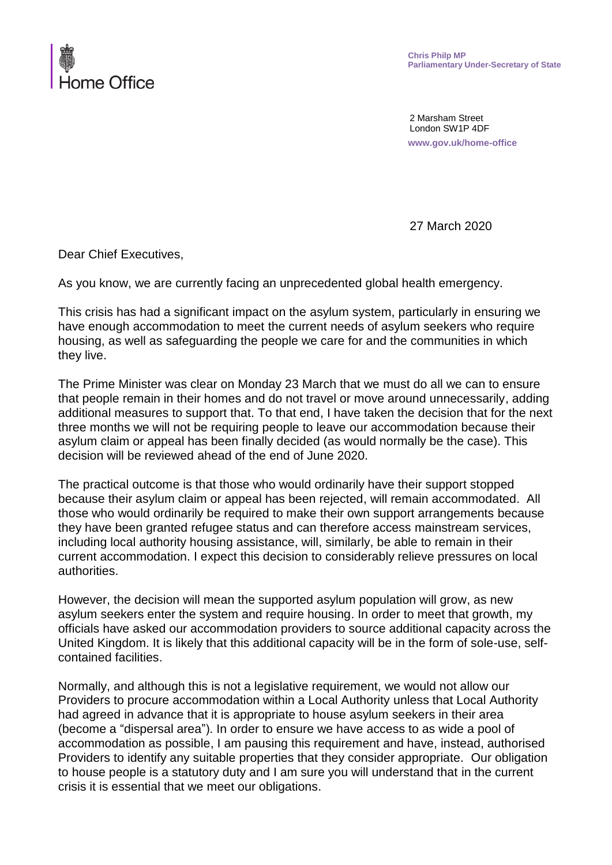

2 Marsham Street London SW1P 4DF **www.gov.uk/home-office**

27 March 2020

Dear Chief Executives,

As you know, we are currently facing an unprecedented global health emergency.

housing, as well as safeguarding the people we care for and the communities in which  $\epsilon$  they live. This crisis has had a significant impact on the asylum system, particularly in ensuring we have enough accommodation to meet the current needs of asylum seekers who require

The Prime Minister was clear on Monday 23 March that we must do all we can to ensure that people remain in their homes and do not travel or move around unnecessarily, adding additional measures to support that. To that end, I have taken the decision that for the next three months we will not be requiring people to leave our accommodation because their asylum claim or appeal has been finally decided (as would normally be the case). This decision will be reviewed ahead of the end of June 2020.

The practical outcome is that those who would ordinarily have their support stopped because their asylum claim or appeal has been rejected, will remain accommodated. All those who would ordinarily be required to make their own support arrangements because they have been granted refugee status and can therefore access mainstream services, including local authority housing assistance, will, similarly, be able to remain in their current accommodation. I expect this decision to considerably relieve pressures on local authorities. **Example 20** information on the set of the set of the set of the set of the set of the set of the set of the set of the set of the set of the set of the set of the set of the set of the set of the set of the s

However, the decision will mean the supported asylum population will grow, as new asylum seekers enter the system and require housing. In order to meet that growth, my officials have asked our accommodation providers to source additional capacity across the United Kingdom. It is likely that this additional capacity will be in the form of sole-use, selfcontained facilities.

Normally, and although this is not a legislative requirement, we would not allow our Providers to procure accommodation within a Local Authority unless that Local Authority had agreed in advance that it is appropriate to house asylum seekers in their area (become a "dispersal area"). In order to ensure we have access to as wide a pool of accommodation as possible, I am pausing this requirement and have, instead, authorised Providers to identify any suitable properties that they consider appropriate. Our obligation to house people is a statutory duty and I am sure you will understand that in the current crisis it is essential that we meet our obligations.